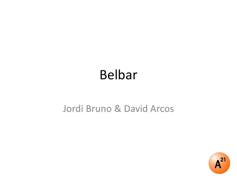## Belbar

#### Jordi Bruno & David Arcos

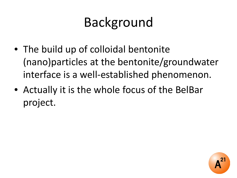- The build up of colloidal bentonite (nano)particles at the bentonite/groundwater interface is a well-established phenomenon.
- Actually it is the whole focus of the BelBar project.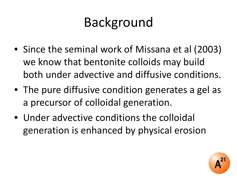- Since the seminal work of Missana et al (2003) we know that bentonite colloids may build both under advective and diffusive conditions.
- The pure diffusive condition generates a gel as a precursor of colloidal generation.
- Under advective conditions the colloidal generation is enhanced by physical erosion

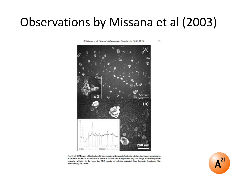#### Observations by Missana et al (2003)

T. Missana et al. / Journal of Contaminant Hydrology 61 (2003) 17-31

 $\mathbf{23}$ 



Fig. 2. (a) SEM image of bentonite colloids generated at the granite/bentonite interface in dynamic experiments. In the inset, a detail of the structure of bentonite colloids can be appreciated. (b) SEM image of laboratory-made bentonite colloids. In the inset, the XRD spectra of colloids extracted from bentonite (previously Nahomoionised) are shown.

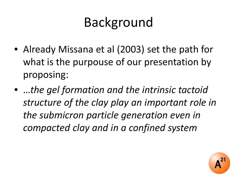- Already Missana et al (2003) set the path for what is the purpouse of our presentation by proposing:
- …*the gel formation and the intrinsic tactoid structure of the clay play an important role in the submicron particle generation even in compacted clay and in a confined system*

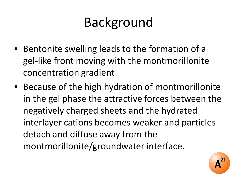- Bentonite swelling leads to the formation of a gel-like front moving with the montmorillonite concentration gradient
- Because of the high hydration of montmorillonite in the gel phase the attractive forces between the negatively charged sheets and the hydrated interlayer cations becomes weaker and particles detach and diffuse away from the montmorillonite/groundwater interface.

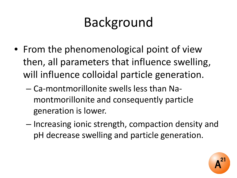- From the phenomenological point of view then, all parameters that influence swelling, will influence colloidal particle generation.
	- Ca-montmorillonite swells less than Namontmorillonite and consequently particle generation is lower.
	- Increasing ionic strength, compaction density and pH decrease swelling and particle generation.

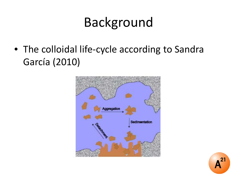• The colloidal life-cycle according to Sandra García (2010)



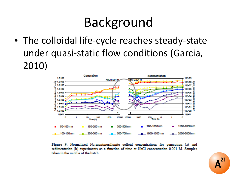• The colloidal life-cycle reaches steady-state under quasi-static flow conditions (Garcia, 2010)



Figure 9: Normalised Na-montmorillonite colloid concentrations for generation (a) and sedimentation (b) experiments as a function of time at NaCl concentration 0.001 M. Samples taken in the middle of the batch.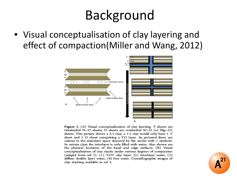• Visual conceptualisation of clay layering and effect of compaction(Miller and Wang, 2012)



Figure 1. (A) Visual conceptualization of clay layering. T sheets are tetrahedral Si-O sheets, O sheets are octahedral  $Al-O$  (or  $Mg-O$ ) sheets. This picture shows a 2:1 clay; a 1:1 clay would only have 1 T sheet and 1 O sheet comprising a TO layer. As pictured there are cations in the interalyer space denoted by the circles with + symbols. In certain clays the interlayer is only filled with water. Also shown are the physical locations of the basal and edge surfaces. (B) Visual conceptualization of clay stacks under various degrees of compaction (adaptd from ref 1). (1) TOT clay layer, (2) interlayer water, (3) diffuse double layer water, (4) free water. Crystallographic images of clay stacking available in ref 2.

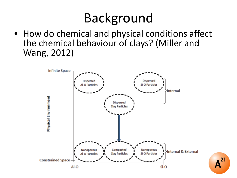• How do chemical and physical conditions affect the chemical behaviour of clays? (Miller and Wang, 2012)

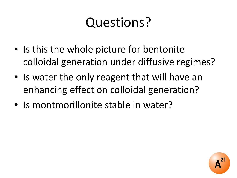# Questions?

- Is this the whole picture for bentonite colloidal generation under diffusive regimes?
- Is water the only reagent that will have an enhancing effect on colloidal generation?
- Is montmorillonite stable in water?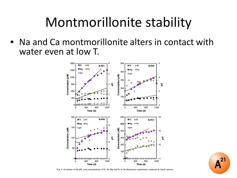#### Montmorillonite stability

• Na and Ca montmorillonite alters in contact with water even at low T.





 $2^{\circ}$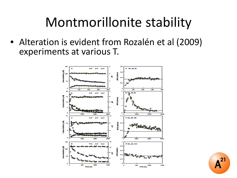### Montmorillonite stability

• Alteration is evident from Rozalén et al (2009) experiments at various T.



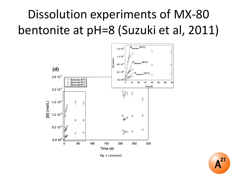#### Dissolution experiments of MX-80 bentonite at pH=8 (Suzuki et al, 2011)



Fig. 1 (continued)

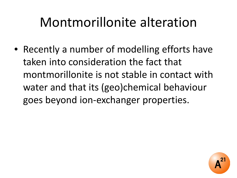## Montmorillonite alteration

• Recently a number of modelling efforts have taken into consideration the fact that montmorillonite is not stable in contact with water and that its (geo)chemical behaviour goes beyond ion-exchanger properties.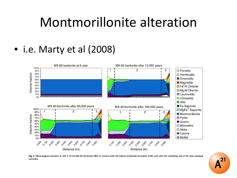#### Montmorillonite alteration

• i.e. Marty et al (2008)



Fig. 2. Mineralogical evolution at 100 °C of the MX-80 bentonite (EBS) in contact with the Callovo-Oxfordian formation (COX) and with the modelling cell of the steel overpack corrosion.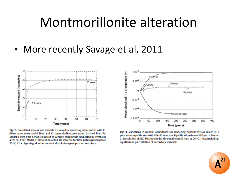#### Montmorillonite alteration

• More recently Savage et al, 2011



Fig. 1. Calculated amounts of smectite dissolved in squeezing experiments with L1 dilute pore water (solid line) and I2 hyperalkaline pore water (dashed line) for Model B over time periods required to achieve equilibrium (indicated by symbols) at 25 °C, 1 bar, Model B; dissolution of MX-80 smectite for time until equilibrium at 25 °C, 1 bar, ignoring all other mineral dissolution-precipitation reactions,



Fig. 3. Variations in mineral abundances in squeezing experiments as dilute  $(L1)$ pore water equilibrates with MX-80 smectite. Equilibration time = 360 years. Model C: dissolution of MX-80 smectite for time until equilibrium at 25 °C. 1 bar, including equilibrium precipitation of secondary minerals.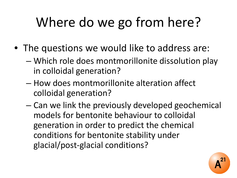# Where do we go from here?

- The questions we would like to address are:
	- Which role does montmorillonite dissolution play in colloidal generation?
	- How does montmorillonite alteration affect colloidal generation?
	- Can we link the previously developed geochemical models for bentonite behaviour to colloidal generation in order to predict the chemical conditions for bentonite stability under glacial/post-glacial conditions?

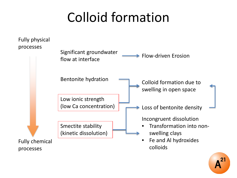#### Colloid formation



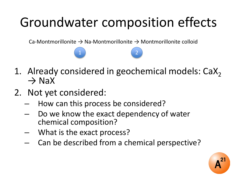# Groundwater composition effects

Ca-Montmorillonite  $\rightarrow$  Na-Montmorillonite  $\rightarrow$  Montmorillonite colloid

 $\begin{pmatrix} 1 \end{pmatrix}$  (2)

- 1. Already considered in geochemical models: CaX<sub>2</sub>  $\rightarrow$  NaX
- 2. Not yet considered:
	- How can this process be considered?
	- Do we know the exact dependency of water chemical composition?
	- What is the exact process?
	- Can be described from a chemical perspective?

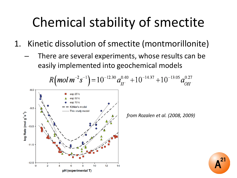## Chemical stability of smectite

- 1. Kinetic dissolution of smectite (montmorillonite)
	- There are several experiments, whose results can be easily implemented into geochemical models

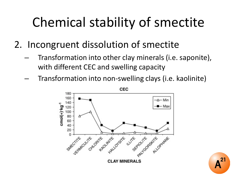# Chemical stability of smectite

- 2. Incongruent dissolution of smectite
	- Transformation into other clay minerals (i.e. saponite), with different CEC and swelling capacity
	- Transformation into non-swelling clays (i.e. kaolinite)



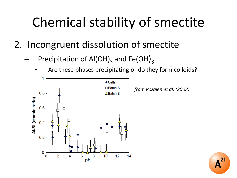# Chemical stability of smectite

- 2. Incongruent dissolution of smectite
	- Precipitation of Al(OH)<sub>3</sub> and Fe(OH)<sub>3</sub>
		- Are these phases precipitating or do they form colloids?



*from Rozalen et al. (2008)*

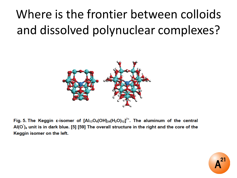## Where is the frontier between colloids and dissolved polynuclear complexes?



Fig. 5. The Keggin  $\varepsilon$ -isomer of  $[AI_{13}O_4(OH)_{24}(H_2O)_{12}]^{7+}$ . The aluminum of the central  $AI(O)_4$  unit is in dark blue. [5] [59] The overall structure in the right and the core of the Keggin isomer on the left.